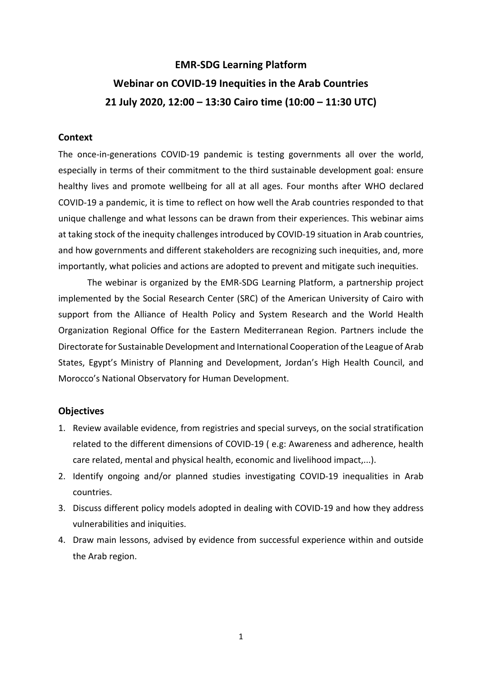# **EMR-SDG Learning Platform Webinar on COVID-19 Inequities in the Arab Countries 21 July 2020, 12:00 – 13:30 Cairo time (10:00 – 11:30 UTC)**

#### **Context**

The once-in-generations COVID-19 pandemic is testing governments all over the world, especially in terms of their commitment to the third sustainable development goal: ensure healthy lives and promote wellbeing for all at all ages. Four months after WHO declared COVID-19 a pandemic, it is time to reflect on how well the Arab countries responded to that unique challenge and what lessons can be drawn from their experiences. This webinar aims at taking stock of the inequity challenges introduced by COVID-19 situation in Arab countries, and how governments and different stakeholders are recognizing such inequities, and, more importantly, what policies and actions are adopted to prevent and mitigate such inequities.

The webinar is organized by the EMR-SDG Learning Platform, a partnership project implemented by the Social Research Center (SRC) of the American University of Cairo with support from the Alliance of Health Policy and System Research and the World Health Organization Regional Office for the Eastern Mediterranean Region. Partners include the Directorate for Sustainable Development and International Cooperation of the League of Arab States, Egypt's Ministry of Planning and Development, Jordan's High Health Council, and Morocco's National Observatory for Human Development.

#### **Objectives**

- 1. Review available evidence, from registries and special surveys, on the social stratification related to the different dimensions of COVID-19 ( e.g: Awareness and adherence, health care related, mental and physical health, economic and livelihood impact,...).
- 2. Identify ongoing and/or planned studies investigating COVID-19 inequalities in Arab countries.
- 3. Discuss different policy models adopted in dealing with COVID-19 and how they address vulnerabilities and iniquities.
- 4. Draw main lessons, advised by evidence from successful experience within and outside the Arab region.